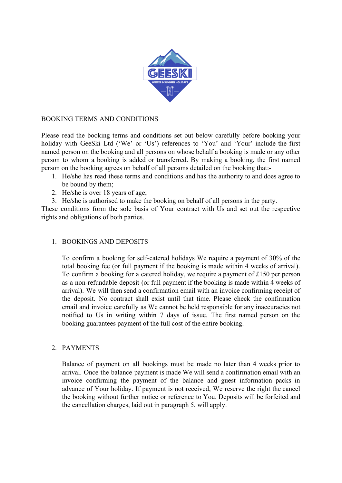

### BOOKING TERMS AND CONDITIONS

Please read the booking terms and conditions set out below carefully before booking your holiday with GeeSki Ltd ('We' or 'Us') references to 'You' and 'Your' include the first named person on the booking and all persons on whose behalf a booking is made or any other person to whom a booking is added or transferred. By making a booking, the first named person on the booking agrees on behalf of all persons detailed on the booking that:-

- 1. He/she has read these terms and conditions and has the authority to and does agree to be bound by them;
- 2. He/she is over 18 years of age;
- 3. He/she is authorised to make the booking on behalf of all persons in the party.

These conditions form the sole basis of Your contract with Us and set out the respective rights and obligations of both parties.

### 1. BOOKINGS AND DEPOSITS

To confirm a booking for self-catered holidays We require a payment of 30% of the total booking fee (or full payment if the booking is made within 4 weeks of arrival). To confirm a booking for a catered holiday, we require a payment of £150 per person as a non-refundable deposit (or full payment if the booking is made within 4 weeks of arrival). We will then send a confirmation email with an invoice confirming receipt of the deposit. No contract shall exist until that time. Please check the confirmation email and invoice carefully as We cannot be held responsible for any inaccuracies not notified to Us in writing within 7 days of issue. The first named person on the booking guarantees payment of the full cost of the entire booking.

### 2. PAYMENTS

Balance of payment on all bookings must be made no later than 4 weeks prior to arrival. Once the balance payment is made We will send a confirmation email with an invoice confirming the payment of the balance and guest information packs in advance of Your holiday. If payment is not received, We reserve the right the cancel the booking without further notice or reference to You. Deposits will be forfeited and the cancellation charges, laid out in paragraph 5, will apply.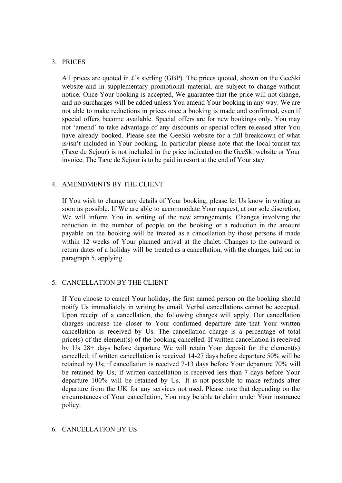## 3. PRICES

All prices are quoted in £'s sterling (GBP). The prices quoted, shown on the GeeSki website and in supplementary promotional material, are subject to change without notice. Once Your booking is accepted, We guarantee that the price will not change, and no surcharges will be added unless You amend Your booking in any way. We are not able to make reductions in prices once a booking is made and confirmed, even if special offers become available. Special offers are for new bookings only. You may not 'amend' to take advantage of any discounts or special offers released after You have already booked. Please see the GeeSki website for a full breakdown of what is/isn't included in Your booking. In particular please note that the local tourist tax (Taxe de Sejour) is not included in the price indicated on the GeeSki website or Your invoice. The Taxe de Sejour is to be paid in resort at the end of Your stay.

## 4. AMENDMENTS BY THE CLIENT

If You wish to change any details of Your booking, please let Us know in writing as soon as possible. If We are able to accommodate Your request, at our sole discretion, We will inform You in writing of the new arrangements. Changes involving the reduction in the number of people on the booking or a reduction in the amount payable on the booking will be treated as a cancellation by those persons if made within 12 weeks of Your planned arrival at the chalet. Changes to the outward or return dates of a holiday will be treated as a cancellation, with the charges, laid out in paragraph 5, applying.

# 5. CANCELLATION BY THE CLIENT

If You choose to cancel Your holiday, the first named person on the booking should notify Us immediately in writing by email. Verbal cancellations cannot be accepted. Upon receipt of a cancellation, the following charges will apply. Our cancellation charges increase the closer to Your confirmed departure date that Your written cancellation is received by Us. The cancellation charge is a percentage of total price(s) of the element(s) of the booking cancelled. If written cancellation is received by Us 28+ days before departure We will retain Your deposit for the element(s) cancelled; if written cancellation is received 14-27 days before departure 50% will be retained by Us; if cancellation is received 7-13 days before Your departure 70% will be retained by Us; if written cancellation is received less than 7 days before Your departure 100% will be retained by Us. It is not possible to make refunds after departure from the UK for any services not used. Please note that depending on the circumstances of Your cancellation, You may be able to claim under Your insurance policy.

### 6. CANCELLATION BY US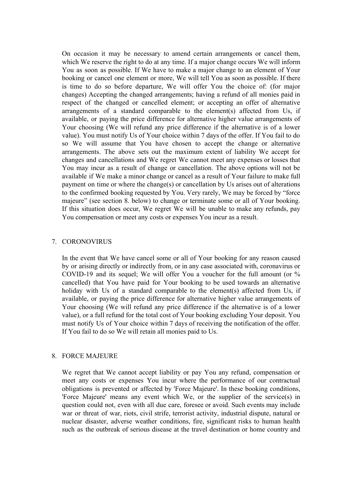On occasion it may be necessary to amend certain arrangements or cancel them, which We reserve the right to do at any time. If a major change occurs We will inform You as soon as possible. If We have to make a major change to an element of Your booking or cancel one element or more, We will tell You as soon as possible. If there is time to do so before departure, We will offer You the choice of: (for major changes) Accepting the changed arrangements; having a refund of all monies paid in respect of the changed or cancelled element; or accepting an offer of alternative arrangements of a standard comparable to the element(s) affected from Us, if available, or paying the price difference for alternative higher value arrangements of Your choosing (We will refund any price difference if the alternative is of a lower value). You must notify Us of Your choice within 7 days of the offer. If You fail to do so We will assume that You have chosen to accept the change or alternative arrangements. The above sets out the maximum extent of liability We accept for changes and cancellations and We regret We cannot meet any expenses or losses that You may incur as a result of change or cancellation. The above options will not be available if We make a minor change or cancel as a result of Your failure to make full payment on time or where the change(s) or cancellation by Us arises out of alterations to the confirmed booking requested by You. Very rarely, We may be forced by "force majeure" (see section 8. below) to change or terminate some or all of Your booking. If this situation does occur, We regret We will be unable to make any refunds, pay You compensation or meet any costs or expenses You incur as a result.

#### 7. CORONOVIRUS

In the event that We have cancel some or all of Your booking for any reason caused by or arising directly or indirectly from, or in any case associated with, coronavirus or COVID-19 and its sequel; We will offer You a voucher for the full amount (or % cancelled) that You have paid for Your booking to be used towards an alternative holiday with Us of a standard comparable to the element(s) affected from Us, if available, or paying the price difference for alternative higher value arrangements of Your choosing (We will refund any price difference if the alternative is of a lower value), or a full refund for the total cost of Your booking excluding Your deposit. You must notify Us of Your choice within 7 days of receiving the notification of the offer. If You fail to do so We will retain all monies paid to Us.

#### 8. FORCE MAJEURE

We regret that We cannot accept liability or pay You any refund, compensation or meet any costs or expenses You incur where the performance of our contractual obligations is prevented or affected by 'Force Majeure'. In these booking conditions, 'Force Majeure' means any event which We, or the supplier of the service(s) in question could not, even with all due care, foresee or avoid. Such events may include war or threat of war, riots, civil strife, terrorist activity, industrial dispute, natural or nuclear disaster, adverse weather conditions, fire, significant risks to human health such as the outbreak of serious disease at the travel destination or home country and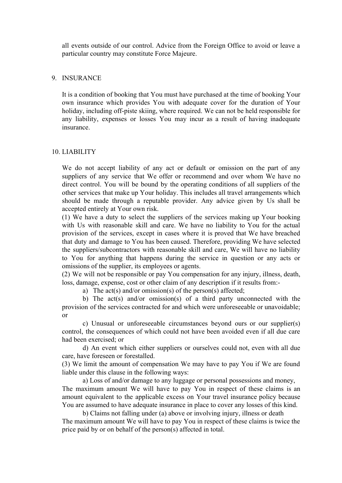all events outside of our control. Advice from the Foreign Office to avoid or leave a particular country may constitute Force Majeure.

#### 9. INSURANCE

It is a condition of booking that You must have purchased at the time of booking Your own insurance which provides You with adequate cover for the duration of Your holiday, including off-piste skiing, where required. We can not be held responsible for any liability, expenses or losses You may incur as a result of having inadequate insurance.

#### 10. LIABILITY

We do not accept liability of any act or default or omission on the part of any suppliers of any service that We offer or recommend and over whom We have no direct control. You will be bound by the operating conditions of all suppliers of the other services that make up Your holiday. This includes all travel arrangements which should be made through a reputable provider. Any advice given by Us shall be accepted entirely at Your own risk.

(1) We have a duty to select the suppliers of the services making up Your booking with Us with reasonable skill and care. We have no liability to You for the actual provision of the services, except in cases where it is proved that We have breached that duty and damage to You has been caused. Therefore, providing We have selected the suppliers/subcontractors with reasonable skill and care, We will have no liability to You for anything that happens during the service in question or any acts or omissions of the supplier, its employees or agents.

(2) We will not be responsible or pay You compensation for any injury, illness, death, loss, damage, expense, cost or other claim of any description if it results from:-

a) The act(s) and/or omission(s) of the person(s) affected;

b) The act(s) and/or omission(s) of a third party unconnected with the provision of the services contracted for and which were unforeseeable or unavoidable; or

c) Unusual or unforeseeable circumstances beyond ours or our supplier(s) control, the consequences of which could not have been avoided even if all due care had been exercised; or

d) An event which either suppliers or ourselves could not, even with all due care, have foreseen or forestalled.

(3) We limit the amount of compensation We may have to pay You if We are found liable under this clause in the following ways:

a) Loss of and/or damage to any luggage or personal possessions and money, The maximum amount We will have to pay You in respect of these claims is an amount equivalent to the applicable excess on Your travel insurance policy because You are assumed to have adequate insurance in place to cover any losses of this kind.

b) Claims not falling under (a) above or involving injury, illness or death The maximum amount We will have to pay You in respect of these claims is twice the price paid by or on behalf of the person(s) affected in total.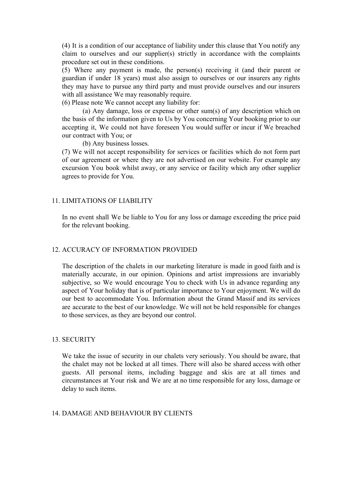(4) It is a condition of our acceptance of liability under this clause that You notify any claim to ourselves and our supplier(s) strictly in accordance with the complaints procedure set out in these conditions.

(5) Where any payment is made, the person(s) receiving it (and their parent or guardian if under 18 years) must also assign to ourselves or our insurers any rights they may have to pursue any third party and must provide ourselves and our insurers with all assistance We may reasonably require.

(6) Please note We cannot accept any liability for:

(a) Any damage, loss or expense or other sum(s) of any description which on the basis of the information given to Us by You concerning Your booking prior to our accepting it, We could not have foreseen You would suffer or incur if We breached our contract with You; or

(b) Any business losses.

(7) We will not accept responsibility for services or facilities which do not form part of our agreement or where they are not advertised on our website. For example any excursion You book whilst away, or any service or facility which any other supplier agrees to provide for You.

#### 11. LIMITATIONS OF LIABILITY

In no event shall We be liable to You for any loss or damage exceeding the price paid for the relevant booking.

#### 12. ACCURACY OF INFORMATION PROVIDED

The description of the chalets in our marketing literature is made in good faith and is materially accurate, in our opinion. Opinions and artist impressions are invariably subjective, so We would encourage You to check with Us in advance regarding any aspect of Your holiday that is of particular importance to Your enjoyment. We will do our best to accommodate You. Information about the Grand Massif and its services are accurate to the best of our knowledge. We will not be held responsible for changes to those services, as they are beyond our control.

#### 13. SECURITY

We take the issue of security in our chalets very seriously. You should be aware, that the chalet may not be locked at all times. There will also be shared access with other guests. All personal items, including baggage and skis are at all times and circumstances at Your risk and We are at no time responsible for any loss, damage or delay to such items.

#### 14. DAMAGE AND BEHAVIOUR BY CLIENTS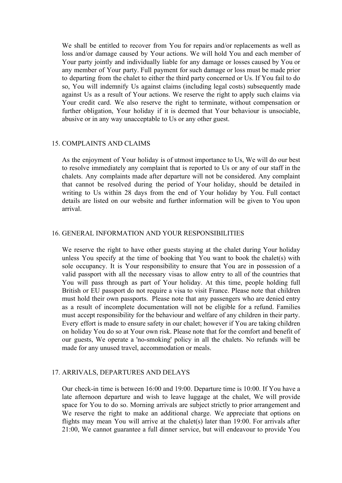We shall be entitled to recover from You for repairs and/or replacements as well as loss and/or damage caused by Your actions. We will hold You and each member of Your party jointly and individually liable for any damage or losses caused by You or any member of Your party. Full payment for such damage or loss must be made prior to departing from the chalet to either the third party concerned or Us. If You fail to do so, You will indemnify Us against claims (including legal costs) subsequently made against Us as a result of Your actions. We reserve the right to apply such claims via Your credit card. We also reserve the right to terminate, without compensation or further obligation, Your holiday if it is deemed that Your behaviour is unsociable, abusive or in any way unacceptable to Us or any other guest.

#### 15. COMPLAINTS AND CLAIMS

As the enjoyment of Your holiday is of utmost importance to Us, We will do our best to resolve immediately any complaint that is reported to Us or any of our staff in the chalets. Any complaints made after departure will not be considered. Any complaint that cannot be resolved during the period of Your holiday, should be detailed in writing to Us within 28 days from the end of Your holiday by You. Full contact details are listed on our website and further information will be given to You upon arrival.

#### 16. GENERAL INFORMATION AND YOUR RESPONSIBILITIES

We reserve the right to have other guests staying at the chalet during Your holiday unless You specify at the time of booking that You want to book the chalet(s) with sole occupancy. It is Your responsibility to ensure that You are in possession of a valid passport with all the necessary visas to allow entry to all of the countries that You will pass through as part of Your holiday. At this time, people holding full British or EU passport do not require a visa to visit France. Please note that children must hold their own passports. Please note that any passengers who are denied entry as a result of incomplete documentation will not be eligible for a refund. Families must accept responsibility for the behaviour and welfare of any children in their party. Every effort is made to ensure safety in our chalet; however if You are taking children on holiday You do so at Your own risk. Please note that for the comfort and benefit of our guests, We operate a 'no-smoking' policy in all the chalets. No refunds will be made for any unused travel, accommodation or meals.

### 17. ARRIVALS, DEPARTURES AND DELAYS

Our check-in time is between 16:00 and 19:00. Departure time is 10:00. If You have a late afternoon departure and wish to leave luggage at the chalet, We will provide space for You to do so. Morning arrivals are subject strictly to prior arrangement and We reserve the right to make an additional charge. We appreciate that options on flights may mean You will arrive at the chalet(s) later than 19:00. For arrivals after 21:00, We cannot guarantee a full dinner service, but will endeavour to provide You